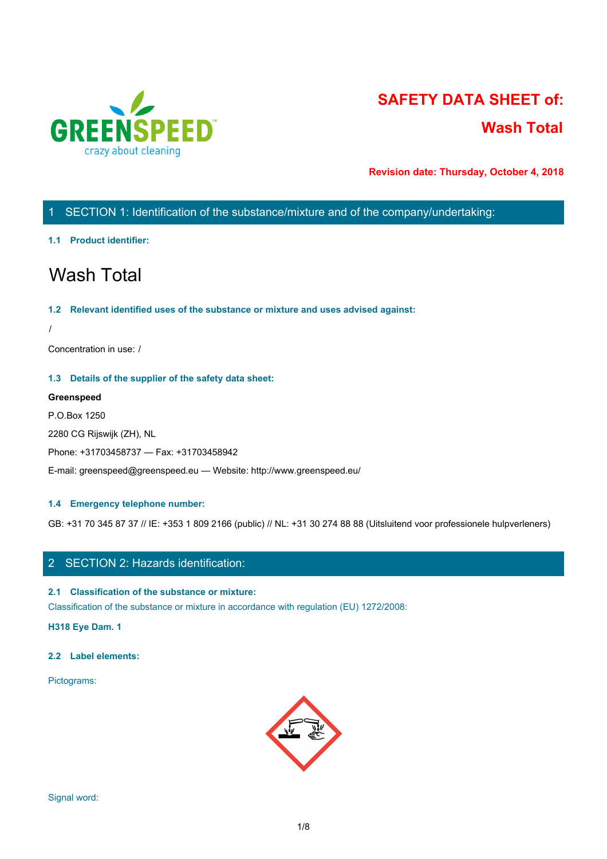

# **SAFETY DATA SHEET of: Wash Total**

**Revision date: Thursday, October 4, 2018**

# 1 SECTION 1: Identification of the substance/mixture and of the company/undertaking:

### **1.1 Product identifier:**

# Wash Total

### **1.2 Relevant identified uses of the substance or mixture and uses advised against:**

/

Concentration in use: /

### **1.3 Details of the supplier of the safety data sheet:**

### **Greenspeed**

P.O.Box 1250

2280 CG Rijswijk (ZH), NL

Phone: +31703458737 — Fax: +31703458942

E-mail: greenspeed@greenspeed.eu — Website: http://www.greenspeed.eu/

### **1.4 Emergency telephone number:**

GB: +31 70 345 87 37 // IE: +353 1 809 2166 (public) // NL: +31 30 274 88 88 (Uitsluitend voor professionele hulpverleners)

### 2 SECTION 2: Hazards identification:

### **2.1 Classification of the substance or mixture:**

Classification of the substance or mixture in accordance with regulation (EU) 1272/2008:

**H318 Eye Dam. 1**

### **2.2 Label elements:**

Pictograms:

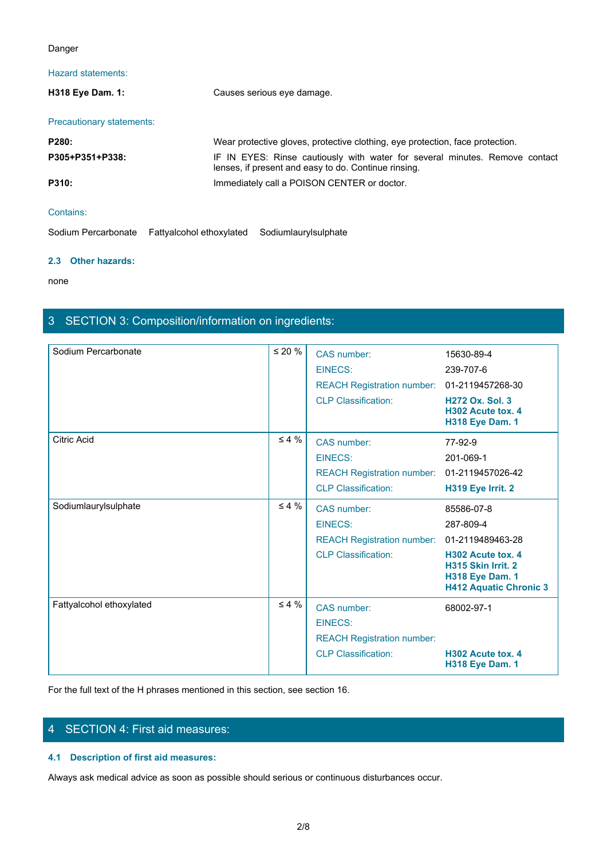### Danger

### Hazard statements:

| Danger                    |                                                                                                                                     |  |
|---------------------------|-------------------------------------------------------------------------------------------------------------------------------------|--|
| Hazard statements:        |                                                                                                                                     |  |
| H318 Eye Dam. 1:          | Causes serious eye damage.                                                                                                          |  |
| Precautionary statements: |                                                                                                                                     |  |
| P280:                     | Wear protective gloves, protective clothing, eye protection, face protection.                                                       |  |
| P305+P351+P338:           | IF IN EYES: Rinse cautiously with water for several minutes. Remove contact<br>lenses, if present and easy to do. Continue rinsing. |  |
| P310:                     | Immediately call a POISON CENTER or doctor.                                                                                         |  |
| Contains:                 |                                                                                                                                     |  |
|                           | Sodium Percarbonate Fattyalcohol ethoxylated Sodiumlaurylsulphate                                                                   |  |

Sodium Percarbonate Fattyalcohol ethoxylated Sodiumlaurylsulphate

### **2.3 Other hazards:**

none and the state of the state of the state of the state of the state of the state of the state of the state of the state of the state of the state of the state of the state of the state of the state of the state of the s

# 3 SECTION 3: Composition/information on ingredients:

| Sodium Percarbonate      | $\leq 20 \%$ | CAS number:<br><b>EINECS:</b><br><b>REACH Registration number:</b><br><b>CLP Classification:</b> | 15630-89-4<br>239-707-6<br>01-2119457268-30<br><b>H272 Ox. Sol. 3</b>                                                                             |
|--------------------------|--------------|--------------------------------------------------------------------------------------------------|---------------------------------------------------------------------------------------------------------------------------------------------------|
|                          |              |                                                                                                  | H302 Acute tox. 4<br><b>H318 Eye Dam. 1</b>                                                                                                       |
| <b>Citric Acid</b>       | $\leq 4\%$   | CAS number:<br><b>EINECS:</b><br><b>REACH Registration number:</b><br><b>CLP Classification:</b> | 77-92-9<br>201-069-1<br>01-2119457026-42<br>H319 Eye Irrit. 2                                                                                     |
| Sodiumlaurylsulphate     | $\leq 4\%$   | CAS number:<br>EINECS:<br><b>REACH Registration number:</b><br><b>CLP Classification:</b>        | 85586-07-8<br>287-809-4<br>01-2119489463-28<br>H302 Acute tox. 4<br>H315 Skin Irrit. 2<br><b>H318 Eye Dam. 1</b><br><b>H412 Aquatic Chronic 3</b> |
| Fattyalcohol ethoxylated | $\leq 4 \%$  | CAS number:<br><b>EINECS:</b><br><b>REACH Registration number:</b><br><b>CLP Classification:</b> | 68002-97-1<br>H302 Acute tox. 4<br><b>H318 Eye Dam. 1</b>                                                                                         |

For the full text of the H phrases mentioned in this section, see section 16.

# 4 SECTION 4: First aid measures:

### **4.1 Description of first aid measures:**

Always ask medical advice as soon as possible should serious or continuous disturbances occur.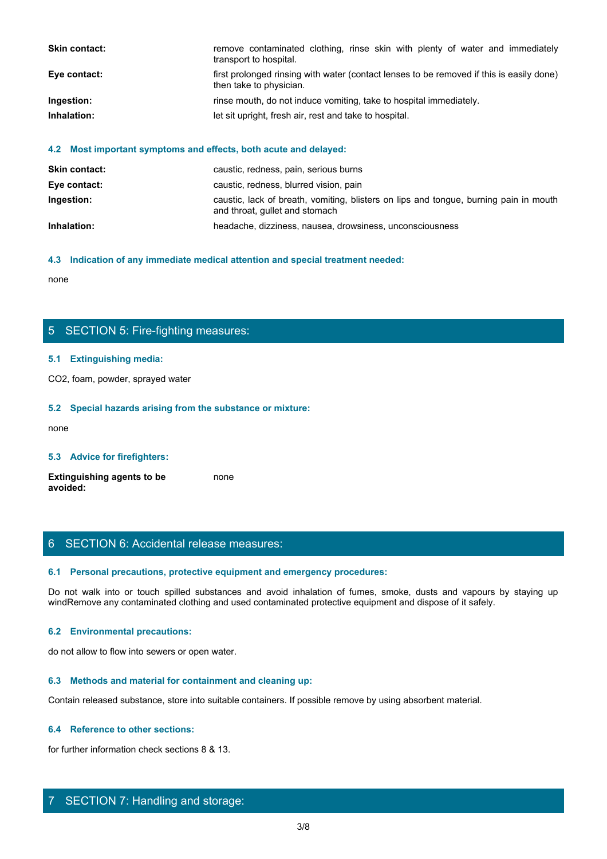| Skin contact: | remove contaminated clothing, rinse skin with plenty of water and immediately<br>transport to hospital.             |
|---------------|---------------------------------------------------------------------------------------------------------------------|
| Eye contact:  | first prolonged rinsing with water (contact lenses to be removed if this is easily done)<br>then take to physician. |
|               |                                                                                                                     |
| Ingestion:    | rinse mouth, do not induce vomiting, take to hospital immediately.                                                  |
| Inhalation:   | let sit upright, fresh air, rest and take to hospital.                                                              |

### **4.2 Most important symptoms and effects, both acute and delayed:**

| <b>Skin contact:</b> | caustic, redness, pain, serious burns                                                                                   |
|----------------------|-------------------------------------------------------------------------------------------------------------------------|
| Eye contact:         | caustic, redness, blurred vision, pain                                                                                  |
| Ingestion:           | caustic, lack of breath, vomiting, blisters on lips and tongue, burning pain in mouth<br>and throat, gullet and stomach |
| Inhalation:          | headache, dizziness, nausea, drowsiness, unconsciousness                                                                |

### **4.3 Indication of any immediate medical attention and special treatment needed:**

none and the state of the state of the state of the state of the state of the state of the state of the state of the state of the state of the state of the state of the state of the state of the state of the state of the s

# 5 SECTION 5: Fire-fighting measures:

### **5.1 Extinguishing media:**

CO2, foam, powder, sprayed water

### **5.2 Special hazards arising from the substance or mixture:**

none and the state of the state of the state of the state of the state of the state of the state of the state of the state of the state of the state of the state of the state of the state of the state of the state of the s

### **5.3 Advice for firefighters:**

**Extinguishing agents to be avoided:** none and the state of the state of the state of the state of the state of the state of the state of the state of the state of the state of the state of the state of the state of the state of the state of the state of the s

### 6 SECTION 6: Accidental release measures:

#### **6.1 Personal precautions, protective equipment and emergency procedures:**

none<br>
S. SECTION 5: Fire-fighting measures:<br>
S. S. Special hazards arising from the substance or mixture:<br>
H. S. Special hazards arising from the substance or mixture:<br>
and avoid in the fumes, spilled substances and avoid windRemove any contaminated clothing and used contaminated protective equipment and dispose of it safely.

### **6.2 Environmental precautions:**

do not allow to flow into sewers or open water.

#### **6.3 Methods and material for containment and cleaning up:**

Contain released substance, store into suitable containers. If possible remove by using absorbent material.

### **6.4 Reference to other sections:**

for further information check sections 8 & 13.

## 7 SECTION 7: Handling and storage: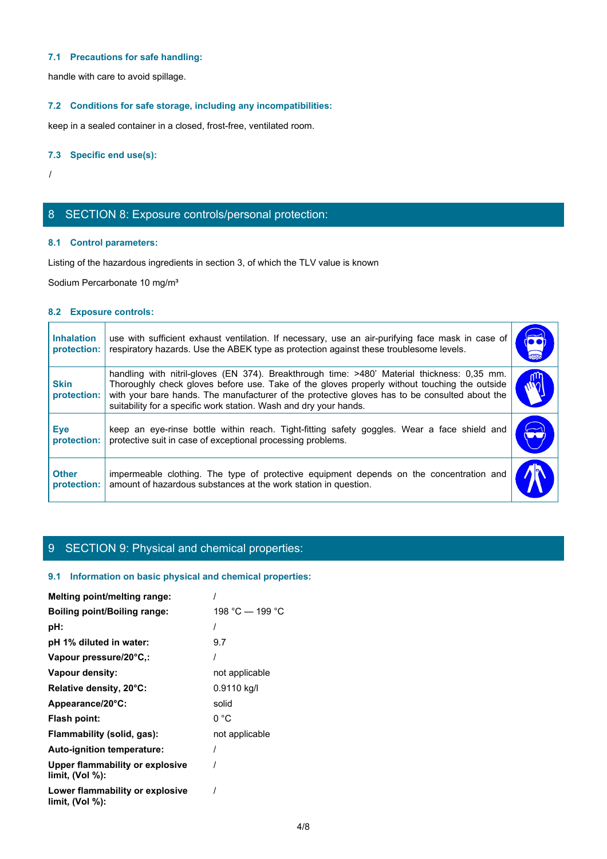### **7.1 Precautions for safe handling:**

### **7.2 Conditions for safe storage, including any incompatibilities:**

### **7.3 Specific end use(s):**

# 8 SECTION 8: Exposure controls/personal protection:

### **8.1 Control parameters:**

### **8.2 Exposure controls:**

|                                  | 7.1 Precautions for safe handling:                                                                                                                                                                                                                                                                                                                                |                             |
|----------------------------------|-------------------------------------------------------------------------------------------------------------------------------------------------------------------------------------------------------------------------------------------------------------------------------------------------------------------------------------------------------------------|-----------------------------|
|                                  | handle with care to avoid spillage.                                                                                                                                                                                                                                                                                                                               |                             |
|                                  | 7.2 Conditions for safe storage, including any incompatibilities:                                                                                                                                                                                                                                                                                                 |                             |
|                                  | keep in a sealed container in a closed, frost-free, ventilated room.                                                                                                                                                                                                                                                                                              |                             |
| 7.3 Specific end use(s):         |                                                                                                                                                                                                                                                                                                                                                                   |                             |
|                                  |                                                                                                                                                                                                                                                                                                                                                                   |                             |
|                                  |                                                                                                                                                                                                                                                                                                                                                                   |                             |
|                                  | 8 SECTION 8: Exposure controls/personal protection:                                                                                                                                                                                                                                                                                                               |                             |
| 8.1 Control parameters:          |                                                                                                                                                                                                                                                                                                                                                                   |                             |
|                                  | Listing of the hazardous ingredients in section 3, of which the TLV value is known                                                                                                                                                                                                                                                                                |                             |
|                                  | Sodium Percarbonate 10 mg/m <sup>3</sup>                                                                                                                                                                                                                                                                                                                          |                             |
| 8.2 Exposure controls:           |                                                                                                                                                                                                                                                                                                                                                                   |                             |
| <b>Inhalation</b><br>protection: | use with sufficient exhaust ventilation. If necessary, use an air-purifying face mask in case of<br>respiratory hazards. Use the ABEK type as protection against these troublesome levels.                                                                                                                                                                        | $\overline{\bullet\bullet}$ |
| <b>Skin</b><br>protection:       | handling with nitril-gloves (EN 374). Breakthrough time: >480' Material thickness: 0,35 mm.<br>Thoroughly check gloves before use. Take of the gloves properly without touching the outside<br>with your bare hands. The manufacturer of the protective gloves has to be consulted about the<br>suitability for a specific work station. Wash and dry your hands. | ηη<br>$\omega_{0}$          |
| <b>Eye</b><br>protection:        | keep an eye-rinse bottle within reach. Tight-fitting safety goggles. Wear a face shield and<br>protective suit in case of exceptional processing problems.                                                                                                                                                                                                        |                             |
| <b>Other</b>                     | impermeable clothing. The type of protective equipment depends on the concentration and<br>amount of hazardous substances at the work station in question.<br>protection:                                                                                                                                                                                         |                             |

# 9 SECTION 9: Physical and chemical properties:

### **9.1 Information on basic physical and chemical properties:**

| Melting point/melting range:                          |                 |
|-------------------------------------------------------|-----------------|
| <b>Boiling point/Boiling range:</b>                   | 198 °C — 199 °C |
| pH:                                                   |                 |
| pH 1% diluted in water:                               | 9.7             |
| Vapour pressure/20°C,:                                |                 |
| Vapour density:                                       | not applicable  |
| Relative density, 20°C:                               | 0.9110 kg/l     |
| Appearance/20°C:                                      | solid           |
| Flash point:                                          | 0 °C            |
| Flammability (solid, gas):                            | not applicable  |
| Auto-ignition temperature:                            |                 |
| Upper flammability or explosive<br>limit, $(Vol %)$ : |                 |
| Lower flammability or explosive<br>limit, $(Vol %)$ : |                 |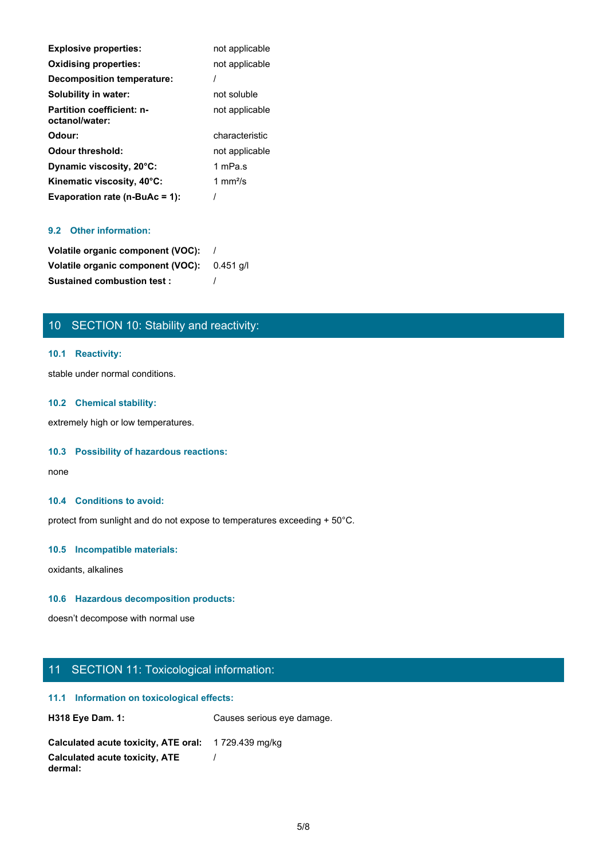| <b>Explosive properties:</b>                       | not applicable            |
|----------------------------------------------------|---------------------------|
| <b>Oxidising properties:</b>                       | not applicable            |
| Decomposition temperature:                         |                           |
| Solubility in water:                               | not soluble               |
| <b>Partition coefficient: n-</b><br>octanol/water: | not applicable            |
| Odour:                                             | characteristic            |
| <b>Odour threshold:</b>                            | not applicable            |
| Dynamic viscosity, 20°C:                           | 1 mPa.s                   |
| Kinematic viscosity, 40°C:                         | 1 mm $\frac{2}{\text{S}}$ |
| Evaporation rate (n-BuAc = 1):                     |                           |

### **9.2 Other information:**

| Volatile organic component (VOC): |           |
|-----------------------------------|-----------|
| Volatile organic component (VOC): | 0.451 a/l |
| <b>Sustained combustion test:</b> |           |

# 10 SECTION 10: Stability and reactivity:

### **10.1 Reactivity:**

stable under normal conditions.

### **10.2 Chemical stability:**

extremely high or low temperatures.

### **10.3 Possibility of hazardous reactions:**

none and the state of the state of the state of the state of the state of the state of the state of the state of the state of the state of the state of the state of the state of the state of the state of the state of the s

### **10.4 Conditions to avoid:**

protect from sunlight and do not expose to temperatures exceeding + 50°C.

### **10.5 Incompatible materials:**

oxidants, alkalines

### **10.6 Hazardous decomposition products:**

doesn't decompose with normal use

# 11 SECTION 11: Toxicological information:

### **11.1 Information on toxicological effects:**

| <b>H318 Eye Dam. 1:</b>                             | Causes serious eye damage. |
|-----------------------------------------------------|----------------------------|
| Calculated acute toxicity, ATE oral: 1729.439 mg/kg |                            |
| Calculated acute toxicity, ATE<br>dermal:           |                            |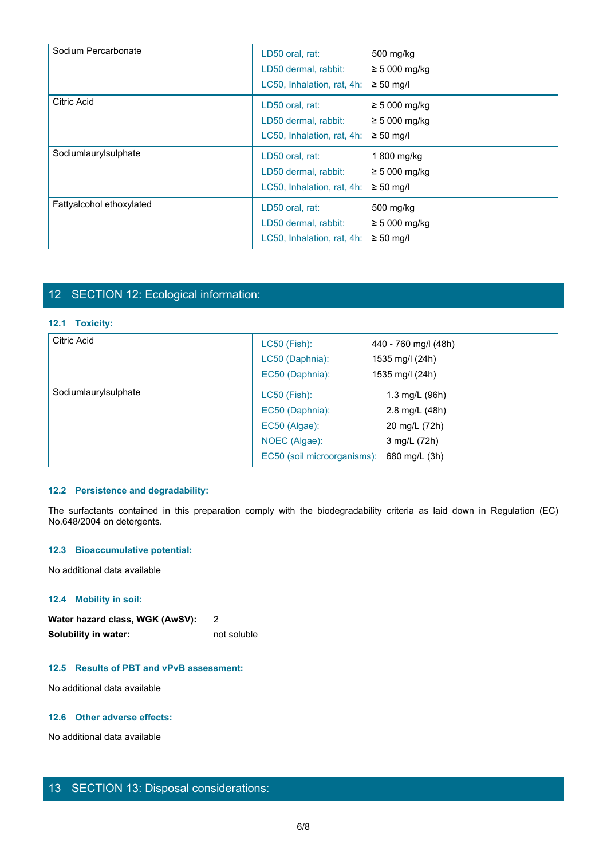| Sodium Percarbonate      | LD50 oral, rat:<br>LD50 dermal, rabbit:<br>LC50, Inhalation, rat, 4h: | 500 mg/kg<br>$\geq$ 5 000 mg/kg<br>$\geq 50$ mg/l          |
|--------------------------|-----------------------------------------------------------------------|------------------------------------------------------------|
| Citric Acid              | LD50 oral, rat:<br>LD50 dermal, rabbit:<br>LC50, Inhalation, rat, 4h: | $\geq$ 5 000 mg/kg<br>$\geq$ 5 000 mg/kg<br>$\geq 50$ mg/l |
| Sodiumlaurylsulphate     | LD50 oral, rat:<br>LD50 dermal, rabbit:<br>LC50, Inhalation, rat, 4h: | 1 800 mg/kg<br>$\geq$ 5 000 mg/kg<br>$\geq 50$ mg/l        |
| Fattyalcohol ethoxylated | LD50 oral, rat:<br>LD50 dermal, rabbit:<br>LC50, Inhalation, rat, 4h: | 500 mg/kg<br>$\geq$ 5 000 mg/kg<br>$\geq 50$ mg/l          |

# 12 SECTION 12: Ecological information:

### **12.1 Toxicity:**

| Fattyalcohol ethoxylated                                                                                                                              | LD50 oral, rat:                           | 500 mg/kg            |  |
|-------------------------------------------------------------------------------------------------------------------------------------------------------|-------------------------------------------|----------------------|--|
|                                                                                                                                                       | LD50 dermal, rabbit:                      | $\geq 5000$ mg/kg    |  |
|                                                                                                                                                       | LC50, Inhalation, rat, 4h: $\geq$ 50 mg/l |                      |  |
|                                                                                                                                                       |                                           |                      |  |
|                                                                                                                                                       |                                           |                      |  |
| 12 SECTION 12: Ecological information:                                                                                                                |                                           |                      |  |
|                                                                                                                                                       |                                           |                      |  |
| 12.1 Toxicity:                                                                                                                                        |                                           |                      |  |
| Citric Acid                                                                                                                                           | LC50 (Fish):                              | 440 - 760 mg/l (48h) |  |
|                                                                                                                                                       | LC50 (Daphnia):                           | 1535 mg/l (24h)      |  |
|                                                                                                                                                       | EC50 (Daphnia):                           | 1535 mg/l (24h)      |  |
| Sodiumlaurylsulphate                                                                                                                                  | LC50 (Fish):                              | 1.3 mg/L (96h)       |  |
|                                                                                                                                                       | EC50 (Daphnia):                           | 2.8 mg/L (48h)       |  |
|                                                                                                                                                       | EC50 (Algae):                             | 20 mg/L (72h)        |  |
|                                                                                                                                                       | NOEC (Algae):                             | 3 mg/L (72h)         |  |
|                                                                                                                                                       | EC50 (soil microorganisms):               | 680 mg/L (3h)        |  |
|                                                                                                                                                       |                                           |                      |  |
| 12.2 Persistence and degradability:                                                                                                                   |                                           |                      |  |
|                                                                                                                                                       |                                           |                      |  |
| The surfactants contained in this preparation comply with the biodegradability criteria as laid down in Regulation (EC)<br>No.648/2004 on detergents. |                                           |                      |  |
|                                                                                                                                                       |                                           |                      |  |
| 12.3 Bioaccumulative potential:                                                                                                                       |                                           |                      |  |
| No additional data available                                                                                                                          |                                           |                      |  |
|                                                                                                                                                       |                                           |                      |  |

### **12.2 Persistence and degradability:**

### **12.3 Bioaccumulative potential:**

### **12.4 Mobility in soil:**

| Water hazard class, WGK (AwSV): |             |
|---------------------------------|-------------|
| Solubility in water:            | not soluble |

### **12.5 Results of PBT and vPvB assessment:**

No additional data available

### **12.6 Other adverse effects:**

No additional data available

# 13 SECTION 13: Disposal considerations: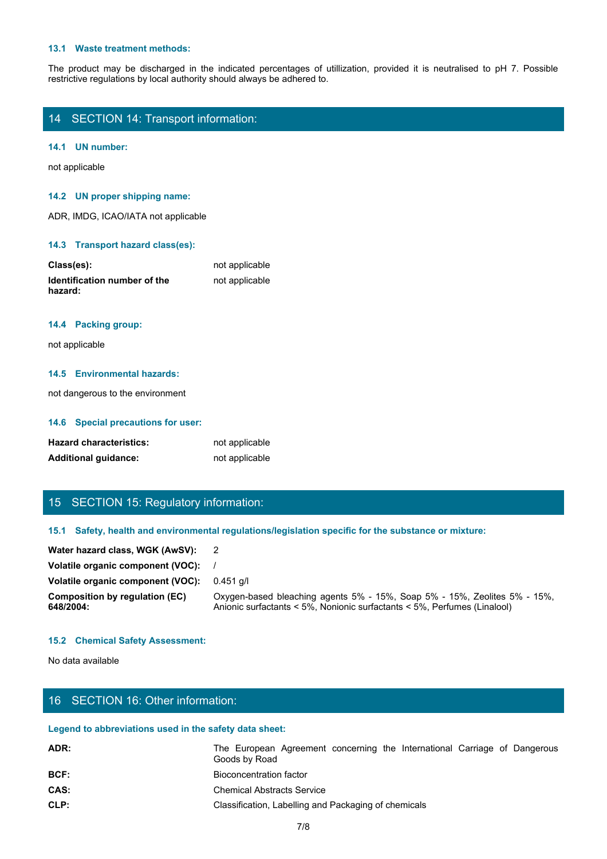#### **13.1 Waste treatment methods:**

The product may be discharged in the indicated percentages of utillization, provided it is neutralised to pH 7. Possible restrictive regulations by local authority should always be adhered to.<br>14 SECTION 14: Transport info restrictive regulations by local authority should always be adhered to.

|  |  | 14 SECTION 14: Transport information: |  |
|--|--|---------------------------------------|--|
|--|--|---------------------------------------|--|

### **14.1 UN number:**

not applicable

### **14.2 UN proper shipping name:**

ADR, IMDG, ICAO/IATA not applicable

### **14.3 Transport hazard class(es):**

| Class(es):                   | not applicable |
|------------------------------|----------------|
| Identification number of the | not applicable |
| hazard:                      |                |

### **14.4 Packing group:**

### **14.5 Environmental hazards:**

### **14.6 Special precautions for user:**

| <b>Hazard characteristics:</b> | not applicable |
|--------------------------------|----------------|
| <b>Additional guidance:</b>    | not applicable |

### 15 SECTION 15: Regulatory information:

### **15.1 Safety, health and environmental regulations/legislation specific for the substance or mixture:**

| hazard:                                                                                              |                                                        | <b>TIOT applicable</b>                                                                                                                                |
|------------------------------------------------------------------------------------------------------|--------------------------------------------------------|-------------------------------------------------------------------------------------------------------------------------------------------------------|
| 14.4 Packing group:                                                                                  |                                                        |                                                                                                                                                       |
| not applicable                                                                                       |                                                        |                                                                                                                                                       |
|                                                                                                      | 14.5 Environmental hazards:                            |                                                                                                                                                       |
|                                                                                                      | not dangerous to the environment                       |                                                                                                                                                       |
|                                                                                                      | 14.6 Special precautions for user:                     |                                                                                                                                                       |
| <b>Hazard characteristics:</b><br><b>Additional guidance:</b>                                        |                                                        | not applicable<br>not applicable                                                                                                                      |
|                                                                                                      | 15 SECTION 15: Regulatory information:                 |                                                                                                                                                       |
| 15.1 Safety, health and environmental regulations/legislation specific for the substance or mixture: |                                                        |                                                                                                                                                       |
|                                                                                                      | Water hazard class, WGK (AwSV):                        | $\overline{\mathbf{2}}$                                                                                                                               |
|                                                                                                      | Volatile organic component (VOC):                      |                                                                                                                                                       |
|                                                                                                      | Volatile organic component (VOC): 0.451 g/l            |                                                                                                                                                       |
| 648/2004:                                                                                            | <b>Composition by regulation (EC)</b>                  | Oxygen-based bleaching agents 5% - 15%, Soap 5% - 15%, Zeolites 5% - 15%,<br>Anionic surfactants < 5%, Nonionic surfactants < 5%, Perfumes (Linalool) |
|                                                                                                      | <b>15.2 Chemical Safety Assessment:</b>                |                                                                                                                                                       |
| No data available                                                                                    |                                                        |                                                                                                                                                       |
|                                                                                                      | 16 SECTION 16: Other information:                      |                                                                                                                                                       |
|                                                                                                      | Legend to abbreviations used in the safety data sheet: |                                                                                                                                                       |
| ADR:                                                                                                 |                                                        | The European Agreement concerning the International Carriage of Dangerous<br>Goods by Road                                                            |
| BCF:                                                                                                 |                                                        | <b>Bioconcentration factor</b>                                                                                                                        |
| CAS:                                                                                                 |                                                        | <b>Chemical Abstracts Service</b>                                                                                                                     |
| CLP:                                                                                                 |                                                        | Classification, Labelling and Packaging of chemicals                                                                                                  |
|                                                                                                      |                                                        | 710                                                                                                                                                   |

### **15.2 Chemical Safety Assessment:**

## 16 SECTION 16: Other information:

### **Legend to abbreviations used in the safety data sheet:**

| ADR: | The European Agreement concerning the International Carriage of Dangerous<br>Goods by Road |
|------|--------------------------------------------------------------------------------------------|
| BCF: | Bioconcentration factor                                                                    |
| CAS: | <b>Chemical Abstracts Service</b>                                                          |
| CLP: | Classification, Labelling and Packaging of chemicals                                       |